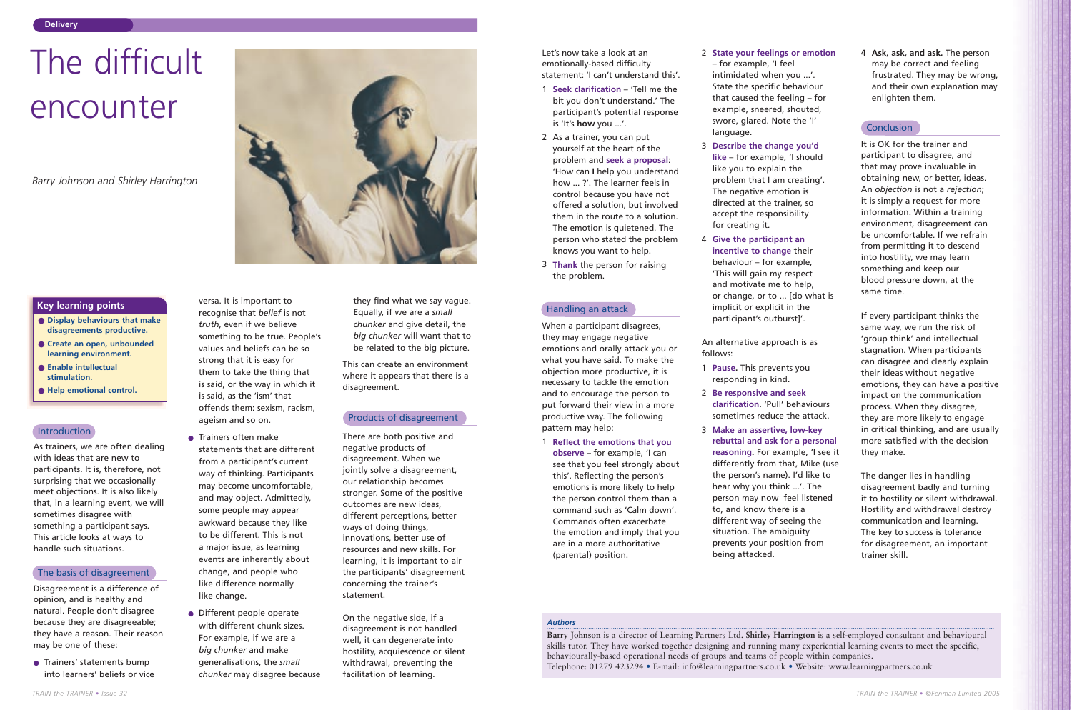As trainers, we are often dealing with ideas that are new to participants. It is, therefore, not surprising that we occasionally meet objections. It is also likely that, in a learning event, we will sometimes disagree with something a participant says. This article looks at ways to handle such situations.

Disagreement is a difference of opinion, and is healthy and natural. People don't disagree because they are disagreeable; they have a reason. Their reason may be one of these:

● Trainers' statements bump into learners' beliefs or vice

versa. It is important to recognise that *belief* is not *truth*, even if we believe something to be true. People's values and beliefs can be so strong that it is easy for them to take the thing that is said, or the way in which it is said, as the 'ism' that offends them: sexism, racism, ageism and so on.

- **Display behaviours that make disagreements productive.**
- **Create an open, unbounded learning environment.**
- **Enable intellectual stimulation.**
- **Help emotional control.**

# **Introduction**

- Trainers often make statements that are different from a participant's current way of thinking. Participants may become uncomfortable, and may object. Admittedly, some people may appear awkward because they like to be different. This is not a major issue, as learning events are inherently about change, and people who like difference normally like change.
- Different people operate with different chunk sizes. For example, if we are a *big chunker* and make generalisations, the *small chunker* may disagree because

they find what we say vague. Equally, if we are a *small chunker* and give detail, the *big chunker* will want that to be related to the big picture.

This can create an environment where it appears that there is a disagreement.

There are both positive and negative products of disagreement. When we jointly solve a disagreement, our relationship becomes stronger. Some of the positive outcomes are new ideas, different perceptions, better ways of doing things, innovations, better use of resources and new skills. For learning, it is important to air the participants' disagreement concerning the trainer's statement.

On the negative side, if a disagreement is not handled well, it can degenerate into hostility, acquiescence or silent withdrawal, preventing the facilitation of learning.



# **Key learning points**

# *Authors*

**Barry Johnson** is a director of Learning Partners Ltd. **Shirley Harrington** is a self-employed consultant and behavioural skills tutor. They have worked together designing and running many experiential learning events to meet the specific, behaviourally-based operational needs of groups and teams of people within companies. Telephone: 01279 423294 • E-mail: info@learningpartners.co.uk • Website: www.learningpartners.co.uk

# The difficult encounter

*Barry Johnson and Shirley Harrington*

Let's now take a look at an emotionally-based difficulty statement: 'I can't understand this'.

- 1 **Seek clarification** 'Tell me the bit you don't understand.' The participant's potential response is 'It's **how** you ...'.
- 2 As a trainer, you can put yourself at the heart of the problem and **seek a proposal**: 'How can **I** help you understand how ... ?'. The learner feels in control because you have not offered a solution, but involved them in the route to a solution. The emotion is quietened. The person who stated the problem knows you want to help.
- 3 **Thank** the person for raising the problem.

When a participant disagrees, they may engage negative emotions and orally attack you or what you have said. To make the objection more productive, it is necessary to tackle the emotion and to encourage the person to put forward their view in a more productive way. The following pattern may help:

1 **Reflect the emotions that you observe** – for example, 'I can see that you feel strongly about this'. Reflecting the person's emotions is more likely to help the person control them than a command such as 'Calm down'. Commands often exacerbate the emotion and imply that you are in a more authoritative (parental) position.

# 2 **State your feelings or emotion**

- for example, 'I feel intimidated when you ...'. State the specific behaviour that caused the feeling – for example, sneered, shouted, swore, glared. Note the 'I' language.
- 3 **Describe the change you'd like** – for example, 'I should like you to explain the problem that I am creating'. The negative emotion is directed at the trainer, so accept the responsibility for creating it.
- 4 **Give the participant an incentive to change** their behaviour – for example, 'This will gain my respect and motivate me to help, or change, or to ... [do what is implicit or explicit in the participant's outburst]'.

An alternative approach is as follows:

- 1 **Pause.** This prevents you responding in kind.
- 2 **Be responsive and seek clarification.** 'Pull' behaviours sometimes reduce the attack.
- 3 **Make an assertive, low-key rebuttal and ask for a personal reasoning.** For example, 'I see it differently from that, Mike (use the person's name). I'd like to hear why you think ...'. The person may now feel listened to, and know there is a different way of seeing the situation. The ambiguity prevents your position from being attacked.

4 **Ask, ask, and ask.** The person may be correct and feeling frustrated. They may be wrong, and their own explanation may enlighten them.

# **Conclusion**

It is OK for the trainer and participant to disagree, and that may prove invaluable in obtaining new, or better, ideas. An *objection* is not a *rejection*; it is simply a request for more information. Within a training environment, disagreement can be uncomfortable. If we refrain from permitting it to descend into hostility, we may learn something and keep our blood pressure down, at the same time.

If every participant thinks the same way, we run the risk of 'group think' and intellectual stagnation. When participants can disagree and clearly explain their ideas without negative emotions, they can have a positive impact on the communication process. When they disagree, they are more likely to engage in critical thinking, and are usually more satisfied with the decision they make.

The danger lies in handling disagreement badly and turning it to hostility or silent withdrawal. Hostility and withdrawal destroy communication and learning. The key to success is tolerance for disagreement, an important trainer skill.

#### The basis of disagreement

# Products of disagreement

# Handling an attack